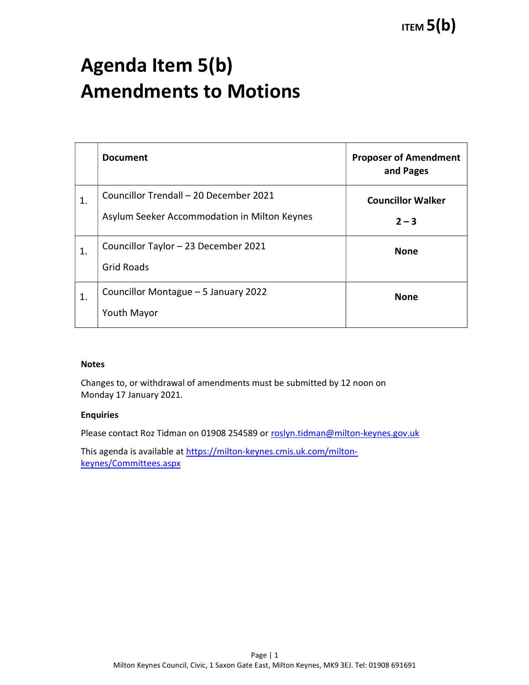# Agenda Item 5(b) Amendments to Motions

|                | <b>Document</b>                                                                        | <b>Proposer of Amendment</b><br>and Pages |
|----------------|----------------------------------------------------------------------------------------|-------------------------------------------|
| 1.             | Councillor Trendall - 20 December 2021<br>Asylum Seeker Accommodation in Milton Keynes | <b>Councillor Walker</b><br>$2 - 3$       |
| 1.             | Councillor Taylor - 23 December 2021<br><b>Grid Roads</b>                              | <b>None</b>                               |
| $\mathbf{1}$ . | Councillor Montague - 5 January 2022<br><b>Youth Mayor</b>                             | <b>None</b>                               |

### Notes

Changes to, or withdrawal of amendments must be submitted by 12 noon on Monday 17 January 2021.

#### Enquiries

Please contact Roz Tidman on 01908 254589 or roslyn.tidman@milton-keynes.gov.uk

This agenda is available at https://milton-keynes.cmis.uk.com/miltonkeynes/Committees.aspx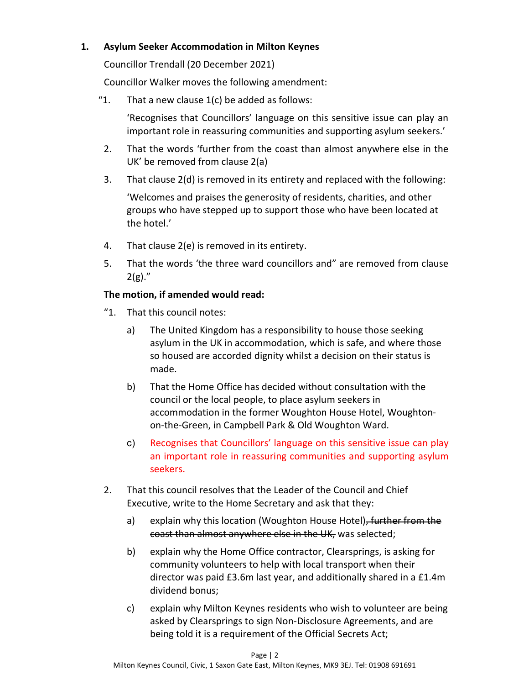## 1. Asylum Seeker Accommodation in Milton Keynes

Councillor Trendall (20 December 2021)

Councillor Walker moves the following amendment:

"1. That a new clause  $1(c)$  be added as follows:

'Recognises that Councillors' language on this sensitive issue can play an important role in reassuring communities and supporting asylum seekers.'

- 2. That the words 'further from the coast than almost anywhere else in the UK' be removed from clause 2(a)
- 3. That clause 2(d) is removed in its entirety and replaced with the following:

'Welcomes and praises the generosity of residents, charities, and other groups who have stepped up to support those who have been located at the hotel.'

- 4. That clause 2(e) is removed in its entirety.
- 5. That the words 'the three ward councillors and" are removed from clause  $2(g)$ ."

## The motion, if amended would read:

- "1. That this council notes:
	- a) The United Kingdom has a responsibility to house those seeking asylum in the UK in accommodation, which is safe, and where those so housed are accorded dignity whilst a decision on their status is made.
	- b) That the Home Office has decided without consultation with the council or the local people, to place asylum seekers in accommodation in the former Woughton House Hotel, Woughtonon-the-Green, in Campbell Park & Old Woughton Ward.
	- c) Recognises that Councillors' language on this sensitive issue can play an important role in reassuring communities and supporting asylum seekers.
- 2. That this council resolves that the Leader of the Council and Chief Executive, write to the Home Secretary and ask that they:
	- a) explain why this location (Woughton House Hotel), further from the coast than almost anywhere else in the UK, was selected;
	- b) explain why the Home Office contractor, Clearsprings, is asking for community volunteers to help with local transport when their director was paid £3.6m last year, and additionally shared in a £1.4m dividend bonus;
	- c) explain why Milton Keynes residents who wish to volunteer are being asked by Clearsprings to sign Non-Disclosure Agreements, and are being told it is a requirement of the Official Secrets Act;